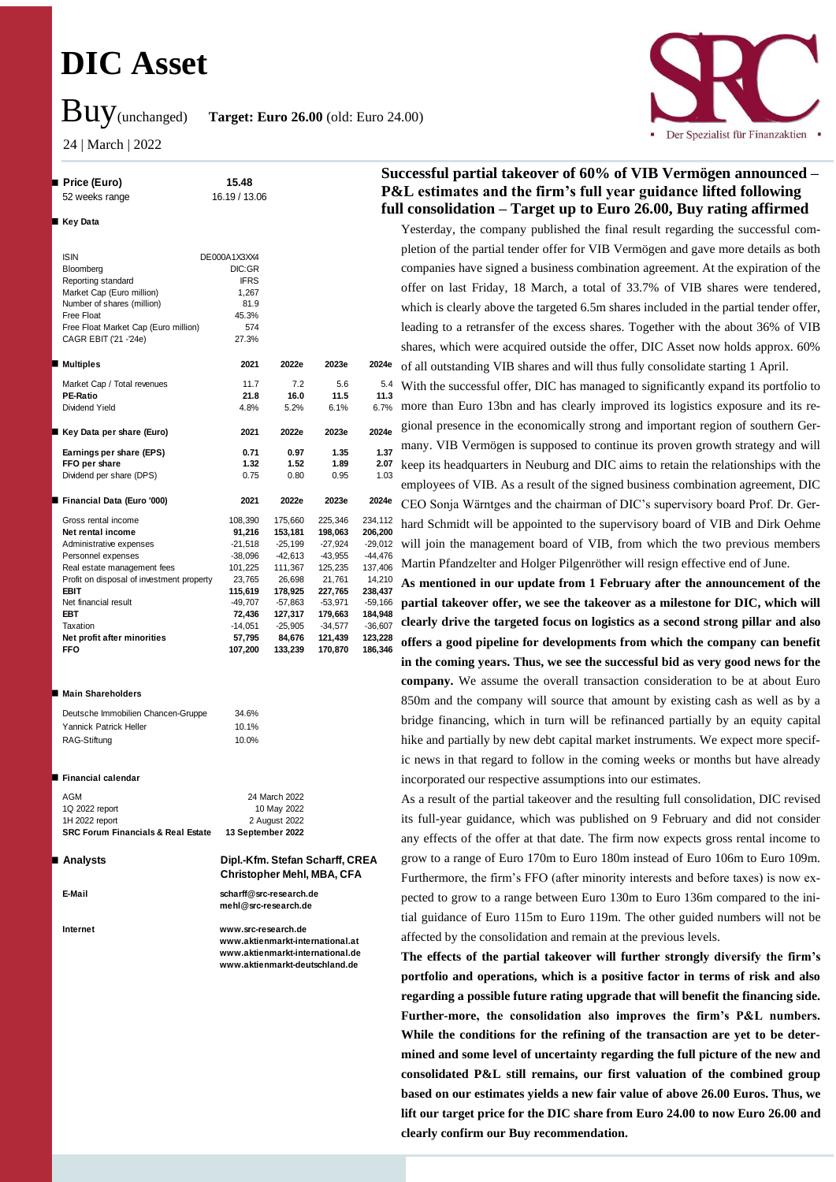# **DIC Asset**

Buy(unchanged) **Target: Euro 26.00** (old: Euro 24.00)

24 | March | 2022



### **Price (Euro) 15.48** 52 weeks range 16.19 / 13.06 ■ Key Data ISIN Bloomberg Reporting standard Market Cap (Euro million) Number of shares (million) Free Float Free Float Market Cap (Euro million) 574 CAGR EBIT ('21 -'24e) 27.3% **Multiples 2021 2022e 2023e 2024e** Market Cap / Total revenues 11.7 7.2 5.6 5.4 **PE-Ratio 21.8 16.0 11.5 11.3** Dividend Yield 4.8% 5.2% 6.1% 6.7% **Key Data per share (Euro) 2021 2022e 2023e 2024e Earnings per share (EPS) 0.71 0.97 1.35 1.37 FFO per share 1.32 1.52 1.89 2.07** Dividend per share (DPS) 0.75 0.80 0.95 1.03 **Financial Data (Euro '000) 2021 2022e 2023e 2024e** Gross rental income 108,390 175,660 225,346 234,112 **Net rental income 91,216 153,181 198,063 206,200** Administrative expenses -21,518 -25,199 -27,924<br>Personnel expenses -38,096 -42,613 -43,955 Personnel expenses -38,096 -42,613 -43,955 -44,476 Real estate management fees 101,225 111,367 125,235 137,406<br>Profit on disposal of investment property 23.765 26.698 21.761 14.210 Profit on disposal of investment property 23,765 26,698 21,761 14,210<br>EBIT 115,619 178,925 227,765 238,437 **EBIT 115,619 178,925 227,765 238,437** Net financial result -49,707 -57,863 -53,971 -59,166 **EBT 72,436 127,317 179,663 184,948** Taxation -14,051 -25,905 -34,577 -36,607 **Net profit after minorities 57,795 84,676 121,439 123,228 FFO 107,200 133,239 170,870 186,346** 81.9 45.3% DE000A1X3XX4 DIC:GR IFRS 1,267

### **Main Shareholders**

| Deutsche Immobilien Chancen-Gruppe | 34.6% |
|------------------------------------|-------|
| Yannick Patrick Heller             | 10.1% |
| RAG-Stiftung                       | 10.0% |

### **■ Financial calendar**

| <b>SRC Forum Financials &amp; Real Estate</b> | 13 September 2022 |
|-----------------------------------------------|-------------------|
| 1H 2022 report                                | 2 August 2022     |
| 1Q 2022 report                                | 10 May 2022       |
| AGM                                           | 24 March 2022     |
|                                               |                   |

 **Analysts Dipl.-Kfm. Stefan Scharff, CREA Christopher Mehl, MBA, CFA E-Mail scharff@src-research.de**

**Internet www.src-research.de www.aktienmarkt-international.at www.aktienmarkt-international.de www.aktienmarkt-deutschland.de**

**mehl@src-research.de**

# **Successful partial takeover of 60% of VIB Vermögen announced – P&L estimates and the firm's full year guidance lifted following full consolidation – Target up to Euro 26.00, Buy rating affirmed**

Yesterday, the company published the final result regarding the successful completion of the partial tender offer for VIB Vermögen and gave more details as both companies have signed a business combination agreement. At the expiration of the offer on last Friday, 18 March, a total of 33.7% of VIB shares were tendered, which is clearly above the targeted 6.5m shares included in the partial tender offer, leading to a retransfer of the excess shares. Together with the about 36% of VIB shares, which were acquired outside the offer, DIC Asset now holds approx. 60% of all outstanding VIB shares and will thus fully consolidate starting 1 April.

With the successful offer, DIC has managed to significantly expand its portfolio to more than Euro 13bn and has clearly improved its logistics exposure and its regional presence in the economically strong and important region of southern Germany. VIB Vermögen is supposed to continue its proven growth strategy and will keep its headquarters in Neuburg and DIC aims to retain the relationships with the employees of VIB. As a result of the signed business combination agreement, DIC CEO Sonja Wärntges and the chairman of DIC's supervisory board Prof. Dr. Gerhard Schmidt will be appointed to the supervisory board of VIB and Dirk Oehme will join the management board of VIB, from which the two previous members Martin Pfandzelter and Holger Pilgenröther will resign effective end of June.

**As mentioned in our update from 1 February after the announcement of the partial takeover offer, we see the takeover as a milestone for DIC, which will clearly drive the targeted focus on logistics as a second strong pillar and also offers a good pipeline for developments from which the company can benefit in the coming years. Thus, we see the successful bid as very good news for the company.** We assume the overall transaction consideration to be at about Euro 850m and the company will source that amount by existing cash as well as by a bridge financing, which in turn will be refinanced partially by an equity capital hike and partially by new debt capital market instruments. We expect more specific news in that regard to follow in the coming weeks or months but have already incorporated our respective assumptions into our estimates.

As a result of the partial takeover and the resulting full consolidation, DIC revised its full-year guidance, which was published on 9 February and did not consider any effects of the offer at that date. The firm now expects gross rental income to grow to a range of Euro 170m to Euro 180m instead of Euro 106m to Euro 109m. Furthermore, the firm's FFO (after minority interests and before taxes) is now expected to grow to a range between Euro 130m to Euro 136m compared to the initial guidance of Euro 115m to Euro 119m. The other guided numbers will not be affected by the consolidation and remain at the previous levels.

**The effects of the partial takeover will further strongly diversify the firm's portfolio and operations, which is a positive factor in terms of risk and also regarding a possible future rating upgrade that will benefit the financing side. Further-more, the consolidation also improves the firm's P&L numbers. While the conditions for the refining of the transaction are yet to be determined and some level of uncertainty regarding the full picture of the new and consolidated P&L still remains, our first valuation of the combined group based on our estimates yields a new fair value of above 26.00 Euros. Thus, we lift our target price for the DIC share from Euro 24.00 to now Euro 26.00 and clearly confirm our Buy recommendation.**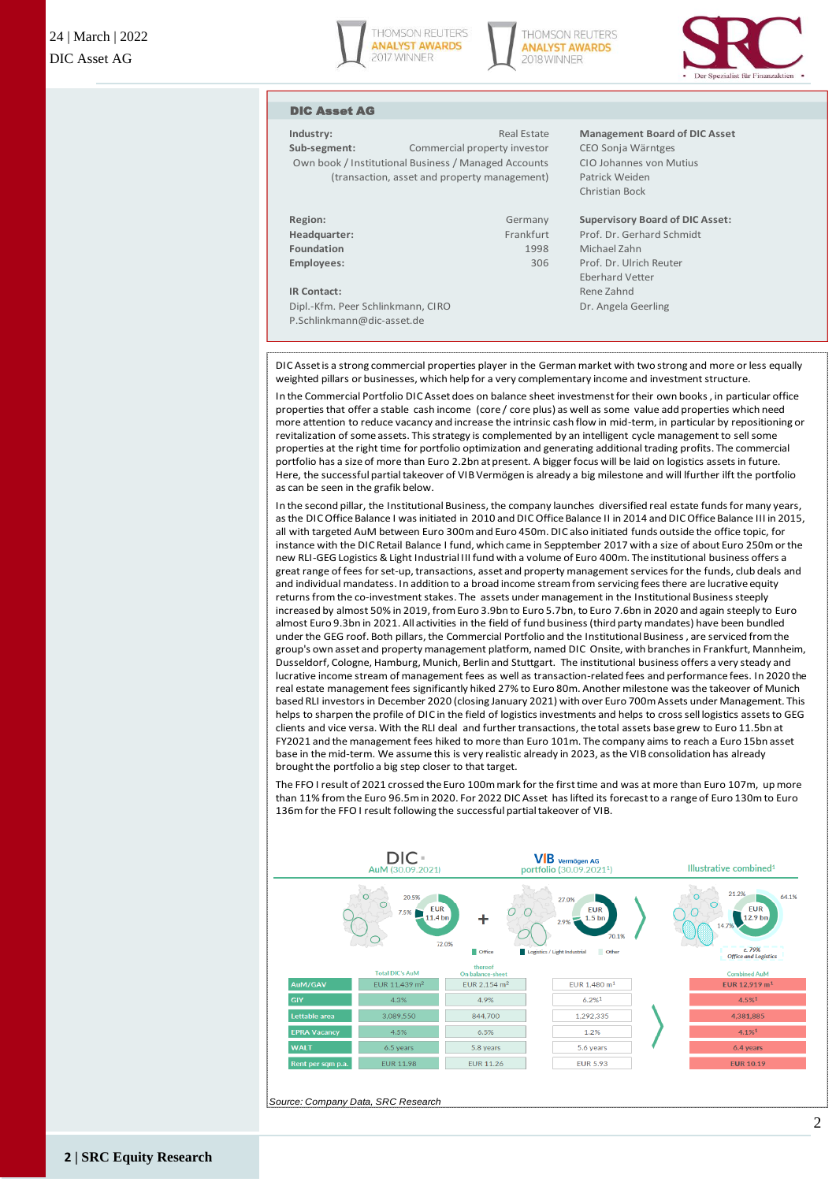





### DIC Asset AG

**Sub-segment:** Commercial property investor CEO Sonja Wärntges Own book / Institutional Business / Managed Accounts CIO Johannes von Mutius (transaction, asset and property management) Patrick Weiden

| Region:           |  |
|-------------------|--|
|                   |  |
| Headquarter:      |  |
| Foundation        |  |
|                   |  |
| <b>Employees:</b> |  |
|                   |  |
|                   |  |

**IR Contact:** Rene Zahnd Dipl.-Kfm. Peer Schlinkmann, CIRO Dr. Angela Geerling P.Schlinkmann@dic-asset.de

# **Industry:** Real Estate **Management Board of DIC Asset**

Christian Bock

## **Region:** Germany **Supervisory Board of DIC Asset:** Frankfurt Prof. Dr. Gerhard Schmidt **Foundation** 1998 Michael Zahn

**Employees:** 306 Prof. Dr. Ulrich Reuter Eberhard Vetter

DIC Asset is a strong commercial properties player in the German market with two strong and more or less equally weighted pillars or businesses, which help for a very complementary income and investment structure.

In the Commercial Portfolio DIC Asset does on balance sheet investmenst for their own books , in particular office properties that offer a stable cash income (core / core plus) as well as some value add properties which need more attention to reduce vacancy and increase the intrinsic cash flow in mid-term, in particular by repositioning or revitalization of some assets. This strategy is complemented by an intelligent cycle management to sell some properties at the right time for portfolio optimization and generating additional trading profits. The commercial portfolio has a size of more than Euro 2.2bn at present. A bigger focus will be laid on logistics assets in future. Here, the successful partial takeover of VIB Vermögen is already a big milestone and will lfurther ilft the portfolio as can be seen in the grafik below.

In the second pillar, the Institutional Business, the company launches diversified real estate funds for many years, as the DIC Office Balance I was initiated in 2010 and DIC Office Balance II in 2014 and DIC Office Balance III in 2015, all with targeted AuM between Euro 300m and Euro 450m. DIC also initiated funds outside the office topic, for instance with the DIC Retail Balance I fund, which came in Sepptember 2017 with a size of about Euro 250m or the new RLI-GEG Logistics & Light Industrial III fund with a volume of Euro 400m. The institutional business offers a great range of fees for set-up, transactions, asset and property management services for the funds, club deals and and individual mandatess. In addition to a broad income stream from servicing fees there are lucrative equity returns from the co-investment stakes. The assets under management in the Institutional Business steeply increased by almost 50% in 2019, from Euro 3.9bn to Euro 5.7bn, to Euro 7.6bn in 2020 and again steeply to Euro almost Euro 9.3bn in 2021. All activities in the field of fund business (third party mandates) have been bundled under the GEG roof. Both pillars, the Commercial Portfolio and the Institutional Business , are serviced from the group's own asset and property management platform, named DIC Onsite, with branches in Frankfurt, Mannheim, Dusseldorf, Cologne, Hamburg, Munich, Berlin and Stuttgart. The institutional business offers a very steady and lucrative income stream of management fees as well as transaction-related fees and performance fees. In 2020 the real estate management fees significantly hiked 27% to Euro 80m. Another milestone was the takeover of Munich based RLI investors in December 2020 (closing January 2021) with over Euro 700m Assets under Management. This helps to sharpen the profile of DIC in the field of logistics investments and helps to cross sell logistics assets to GEG clients and vice versa. With the RLI deal and further transactions, the total assets base grew to Euro 11.5bn at FY2021 and the management fees hiked to more than Euro 101m. The company aims to reach a Euro 15bn asset base in the mid-term. We assume this is very realistic already in 2023, as the VIB consolidation has already brought the portfolio a big step closer to that target.

The FFO I result of 2021 crossed the Euro 100m mark for the first time and was at more than Euro 107m, up more than 11% from the Euro 96.5m in 2020. For 2022 DIC Asset has lifted its forecast to a range of Euro 130m to Euro 136m for the FFO I result following the successful partial takeover of VIB.



*Source: Company Data, SRC Research*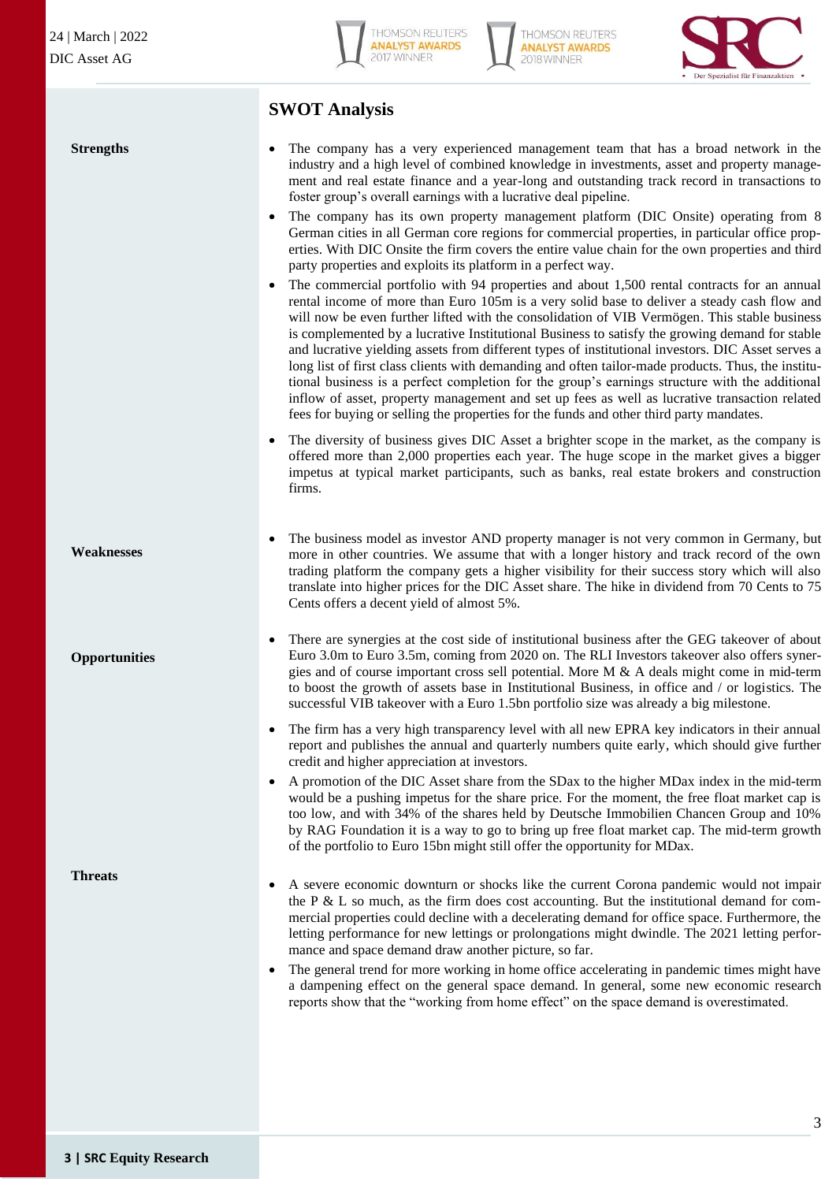**Strengths**



**THOMSON REUTERS ANALYST AWARDS** 2018 WINNER



# **SWOT Analysis**

• The company has a very experienced management team that has a broad network in the industry and a high level of combined knowledge in investments, asset and property management and real estate finance and a year-long and outstanding track record in transactions to foster group's overall earnings with a lucrative deal pipeline.

- The company has its own property management platform (DIC Onsite) operating from 8 German cities in all German core regions for commercial properties, in particular office properties. With DIC Onsite the firm covers the entire value chain for the own properties and third party properties and exploits its platform in a perfect way.
- The commercial portfolio with 94 properties and about 1,500 rental contracts for an annual rental income of more than Euro 105m is a very solid base to deliver a steady cash flow and will now be even further lifted with the consolidation of VIB Vermögen. This stable business is complemented by a lucrative Institutional Business to satisfy the growing demand for stable and lucrative yielding assets from different types of institutional investors. DIC Asset serves a long list of first class clients with demanding and often tailor-made products. Thus, the institutional business is a perfect completion for the group's earnings structure with the additional inflow of asset, property management and set up fees as well as lucrative transaction related fees for buying or selling the properties for the funds and other third party mandates.
- The diversity of business gives DIC Asset a brighter scope in the market, as the company is offered more than 2,000 properties each year. The huge scope in the market gives a bigger impetus at typical market participants, such as banks, real estate brokers and construction firms.
- The business model as investor AND property manager is not very common in Germany, but more in other countries. We assume that with a longer history and track record of the own trading platform the company gets a higher visibility for their success story which will also translate into higher prices for the DIC Asset share. The hike in dividend from 70 Cents to 75 Cents offers a decent yield of almost 5%.
	- There are synergies at the cost side of institutional business after the GEG takeover of about Euro 3.0m to Euro 3.5m, coming from 2020 on. The RLI Investors takeover also offers synergies and of course important cross sell potential. More M & A deals might come in mid-term to boost the growth of assets base in Institutional Business, in office and / or logistics. The successful VIB takeover with a Euro 1.5bn portfolio size was already a big milestone.
	- The firm has a very high transparency level with all new EPRA key indicators in their annual report and publishes the annual and quarterly numbers quite early, which should give further credit and higher appreciation at investors.
	- A promotion of the DIC Asset share from the SDax to the higher MDax index in the mid-term would be a pushing impetus for the share price. For the moment, the free float market cap is too low, and with 34% of the shares held by Deutsche Immobilien Chancen Group and 10% by RAG Foundation it is a way to go to bring up free float market cap. The mid-term growth of the portfolio to Euro 15bn might still offer the opportunity for MDax.

**Threats**

- A severe economic downturn or shocks like the current Corona pandemic would not impair the P  $\&$  L so much, as the firm does cost accounting. But the institutional demand for commercial properties could decline with a decelerating demand for office space. Furthermore, the letting performance for new lettings or prolongations might dwindle. The 2021 letting performance and space demand draw another picture, so far.
- The general trend for more working in home office accelerating in pandemic times might have a dampening effect on the general space demand. In general, some new economic research reports show that the "working from home effect" on the space demand is overestimated.

**Opportunities**

**Weaknesses**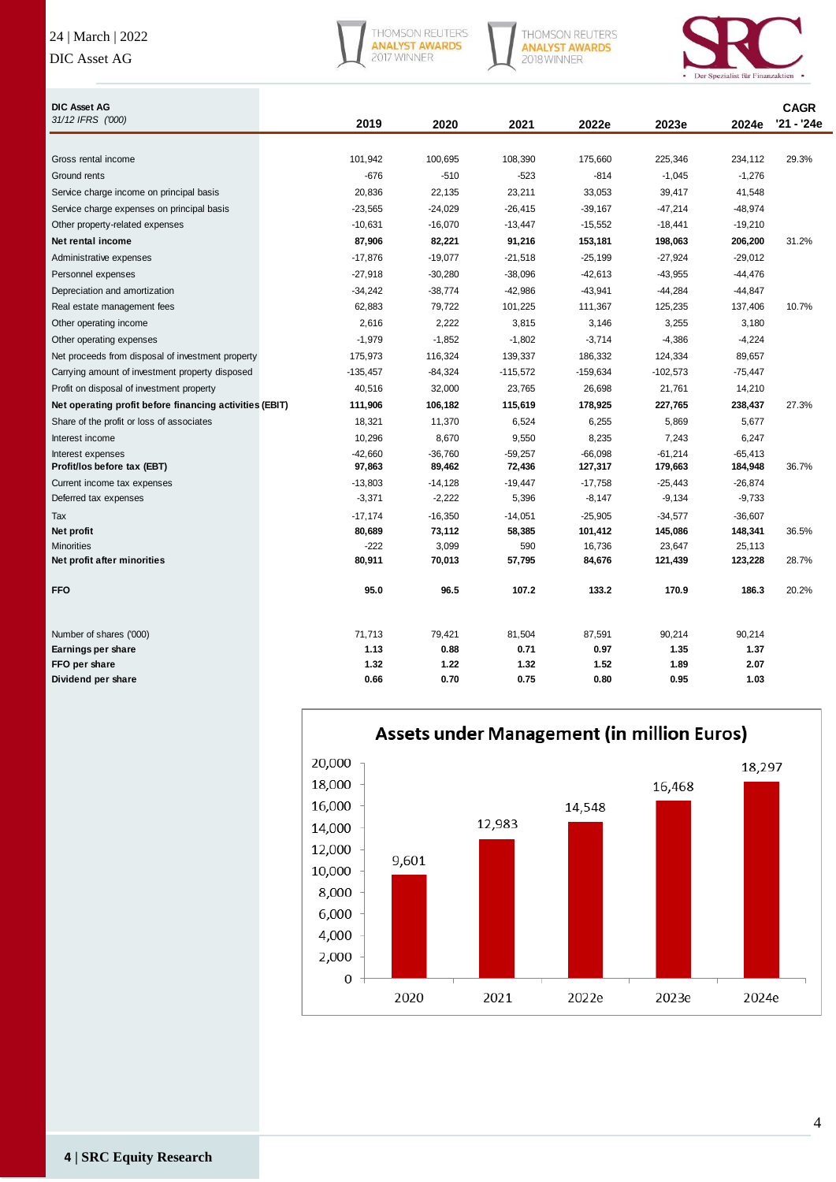# 24 | March | 2022

# DIC Asset AG



THOMSON REUTERS<br>**ANALYST AWARDS**<br>2018 WINNER



| <b>DIC Asset AG</b>                                     |            |           |            |            |            |           | <b>CAGR</b> |
|---------------------------------------------------------|------------|-----------|------------|------------|------------|-----------|-------------|
| 31/12 IFRS ('000)                                       | 2019       | 2020      | 2021       | 2022e      | 2023e      | 2024e     | '21 - '24e  |
|                                                         |            |           |            |            |            |           |             |
| Gross rental income                                     | 101,942    | 100,695   | 108,390    | 175,660    | 225,346    | 234,112   | 29.3%       |
| Ground rents                                            | $-676$     | $-510$    | $-523$     | $-814$     | $-1,045$   | $-1,276$  |             |
| Service charge income on principal basis                | 20,836     | 22,135    | 23,211     | 33,053     | 39,417     | 41,548    |             |
| Service charge expenses on principal basis              | $-23,565$  | $-24,029$ | $-26,415$  | $-39,167$  | $-47,214$  | $-48,974$ |             |
| Other property-related expenses                         | $-10,631$  | $-16,070$ | $-13,447$  | $-15,552$  | $-18,441$  | $-19,210$ |             |
| Net rental income                                       | 87,906     | 82,221    | 91,216     | 153,181    | 198,063    | 206,200   | 31.2%       |
| Administrative expenses                                 | $-17,876$  | $-19,077$ | $-21,518$  | $-25,199$  | $-27,924$  | $-29,012$ |             |
| Personnel expenses                                      | $-27,918$  | $-30,280$ | $-38,096$  | $-42,613$  | $-43,955$  | $-44,476$ |             |
| Depreciation and amortization                           | $-34,242$  | -38,774   | -42,986    | $-43,941$  | $-44,284$  | $-44,847$ |             |
| Real estate management fees                             | 62,883     | 79,722    | 101,225    | 111,367    | 125,235    | 137,406   | 10.7%       |
| Other operating income                                  | 2,616      | 2,222     | 3,815      | 3,146      | 3,255      | 3,180     |             |
| Other operating expenses                                | $-1,979$   | $-1,852$  | $-1,802$   | $-3,714$   | $-4,386$   | $-4,224$  |             |
| Net proceeds from disposal of investment property       | 175,973    | 116,324   | 139,337    | 186,332    | 124,334    | 89,657    |             |
| Carrying amount of investment property disposed         | $-135,457$ | $-84,324$ | $-115,572$ | $-159,634$ | $-102,573$ | $-75,447$ |             |
| Profit on disposal of investment property               | 40,516     | 32,000    | 23,765     | 26,698     | 21,761     | 14,210    |             |
| Net operating profit before financing activities (EBIT) | 111,906    | 106,182   | 115,619    | 178,925    | 227,765    | 238,437   | 27.3%       |
| Share of the profit or loss of associates               | 18,321     | 11,370    | 6,524      | 6,255      | 5,869      | 5,677     |             |
| Interest income                                         | 10,296     | 8,670     | 9,550      | 8,235      | 7,243      | 6,247     |             |
| Interest expenses                                       | $-42.660$  | $-36,760$ | $-59,257$  | $-66.098$  | $-61,214$  | $-65,413$ |             |
| Profit/los before tax (EBT)                             | 97,863     | 89,462    | 72,436     | 127,317    | 179,663    | 184,948   | 36.7%       |
| Current income tax expenses                             | $-13,803$  | $-14,128$ | $-19,447$  | $-17,758$  | $-25,443$  | $-26,874$ |             |
| Deferred tax expenses                                   | $-3,371$   | $-2,222$  | 5,396      | $-8,147$   | $-9,134$   | $-9,733$  |             |
| Tax                                                     | $-17,174$  | $-16,350$ | $-14,051$  | $-25,905$  | $-34,577$  | $-36,607$ |             |
| Net profit                                              | 80,689     | 73,112    | 58,385     | 101,412    | 145,086    | 148,341   | 36.5%       |
| <b>Minorities</b>                                       | $-222$     | 3,099     | 590        | 16,736     | 23,647     | 25,113    |             |
| Net profit after minorities                             | 80,911     | 70,013    | 57,795     | 84,676     | 121,439    | 123,228   | 28.7%       |
| <b>FFO</b>                                              | 95.0       | 96.5      | 107.2      | 133.2      | 170.9      | 186.3     | 20.2%       |
|                                                         |            |           |            |            |            |           |             |
| Number of shares ('000)                                 | 71,713     | 79,421    | 81,504     | 87,591     | 90,214     | 90,214    |             |
| Earnings per share                                      | 1.13       | 0.88      | 0.71       | 0.97       | 1.35       | 1.37      |             |
| FFO per share                                           | 1.32       | 1.22      | 1.32       | 1.52       | 1.89       | 2.07      |             |
| Dividend per share                                      | 0.66       | 0.70      | 0.75       | 0.80       | 0.95       | 1.03      |             |



# Assets under Management (in million Euros)